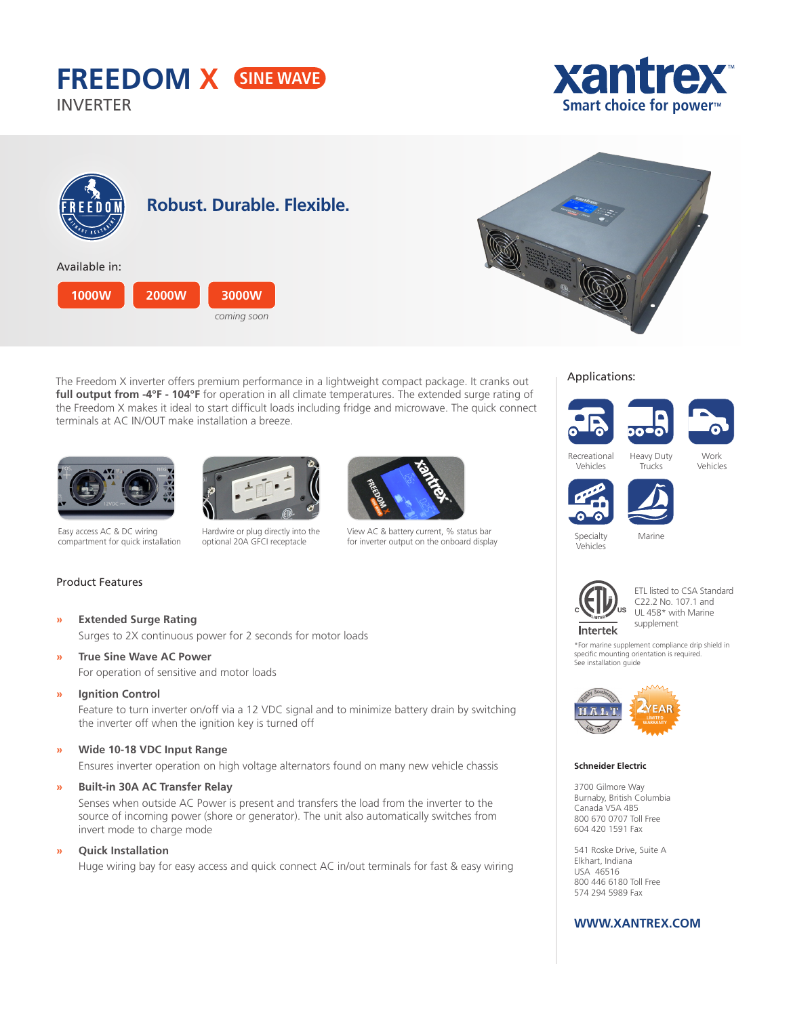# **FREEDOM X**

INVERTER





**Smart choice for power™**

**xantre** 

The Freedom X inverter offers premium performance in a lightweight compact package. It cranks out **full output from -4°F - 104°F** for operation in all climate temperatures. The extended surge rating of the Freedom X makes it ideal to start difficult loads including fridge and microwave. The quick connect terminals at AC IN/OUT make installation a breeze.





Easy access AC & DC wiring compartment for quick installation

Hardwire or plug directly into the optional 20A GFCI receptacle



View AC & battery current, % status bar for inverter output on the onboard display

# Applications:









Work Vehicles



Specialty Marine



Vehicles

ETL listed to CSA Standard C22.2 No. 107.1 and UL 458\* with Marine supplement

\*For marine supplement compliance drip shield in specific mounting orientation is required. See installation guide



#### **Schneider Electric**

3700 Gilmore Way Burnaby, British Columbia Canada V5A 4B5 800 670 0707 Toll Free 604 420 1591 Fax

541 Roske Drive, Suite A Elkhart, Indiana USA 46516 800 446 6180 Toll Free 574 294 5989 Fax

### **WWW.XANTREX.COM**

## Product Features

- **» Extended Surge Rating** Surges to 2X continuous power for 2 seconds for motor loads
- **» True Sine Wave AC Power** For operation of sensitive and motor loads
- **» Ignition Control**

Feature to turn inverter on/off via a 12 VDC signal and to minimize battery drain by switching the inverter off when the ignition key is turned off

#### **» Wide 10-18 VDC Input Range**

Ensures inverter operation on high voltage alternators found on many new vehicle chassis

**» Built-in 30A AC Transfer Relay**

Senses when outside AC Power is present and transfers the load from the inverter to the source of incoming power (shore or generator). The unit also automatically switches from invert mode to charge mode

**» Quick Installation**

Huge wiring bay for easy access and quick connect AC in/out terminals for fast & easy wiring